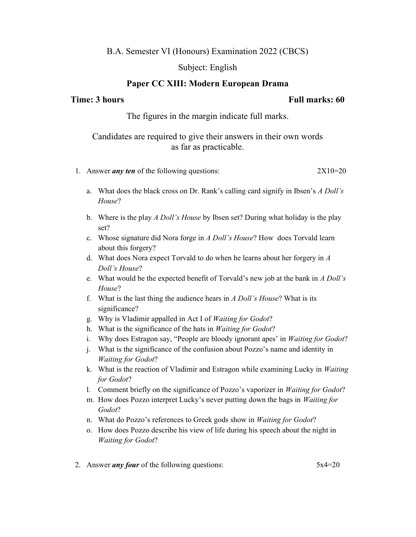## B.A. Semester VI (Honours) Examination 2022 (CBCS)

### Subject: English

## Paper CC XIII: Modern European Drama

### Time: 3 hours Full marks: 60

The figures in the margin indicate full marks.

# Candidates are required to give their answers in their own words as far as practicable.

- 1. Answer *any ten* of the following questions: 2X10=20
	- a. What does the black cross on Dr. Rank's calling card signify in Ibsen's A Doll's House?
	- b. Where is the play A Doll's House by Ibsen set? During what holiday is the play set?
	- c. Whose signature did Nora forge in A Doll's House? How does Torvald learn about this forgery?
	- d. What does Nora expect Torvald to do when he learns about her forgery in A Doll's House?
	- e. What would be the expected benefit of Torvald's new job at the bank in A Doll's House?
	- f. What is the last thing the audience hears in  $A$  Doll's House? What is its significance?
	- g. Why is Vladimir appalled in Act I of Waiting for Godot?
	- h. What is the significance of the hats in Waiting for Godot?
	- i. Why does Estragon say, "People are bloody ignorant apes' in Waiting for Godot?
	- j. What is the significance of the confusion about Pozzo's name and identity in Waiting for Godot?
	- k. What is the reaction of Vladimir and Estragon while examining Lucky in Waiting for Godot?
	- l. Comment briefly on the significance of Pozzo's vaporizer in Waiting for Godot?
	- m. How does Pozzo interpret Lucky's never putting down the bags in Waiting for Godot?
	- n. What do Pozzo's references to Greek gods show in Waiting for Godot?
	- o. How does Pozzo describe his view of life during his speech about the night in Waiting for Godot?
- 2. Answer *any four* of the following questions:  $5x^4=20$